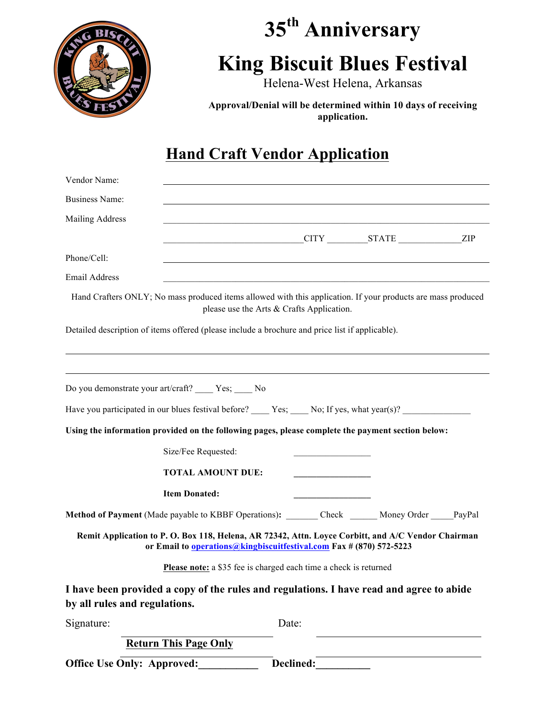

# **35th Anniversary King Biscuit Blues Festival**

Helena-West Helena, Arkansas

**Approval/Denial will be determined within 10 days of receiving application.**

# **Hand Craft Vendor Application**

| Vendor Name:                                                                                                              |                                                                            |                                           |                |  |
|---------------------------------------------------------------------------------------------------------------------------|----------------------------------------------------------------------------|-------------------------------------------|----------------|--|
| <b>Business Name:</b>                                                                                                     |                                                                            |                                           |                |  |
| Mailing Address                                                                                                           |                                                                            |                                           |                |  |
|                                                                                                                           |                                                                            |                                           | CITY STATE ZIP |  |
| Phone/Cell:                                                                                                               |                                                                            |                                           |                |  |
| <b>Email Address</b>                                                                                                      |                                                                            |                                           |                |  |
| Hand Crafters ONLY; No mass produced items allowed with this application. If your products are mass produced              |                                                                            | please use the Arts & Crafts Application. |                |  |
| Detailed description of items offered (please include a brochure and price list if applicable).                           |                                                                            |                                           |                |  |
|                                                                                                                           |                                                                            |                                           |                |  |
|                                                                                                                           |                                                                            |                                           |                |  |
| Do you demonstrate your art/craft? _____ Yes; ____ No                                                                     |                                                                            |                                           |                |  |
| Have you participated in our blues festival before? $\_\_\_\$ Yes; $\_\_\_$ No; If yes, what year(s)?                     |                                                                            |                                           |                |  |
| Using the information provided on the following pages, please complete the payment section below:                         |                                                                            |                                           |                |  |
|                                                                                                                           | Size/Fee Requested:                                                        |                                           |                |  |
|                                                                                                                           | <b>TOTAL AMOUNT DUE:</b>                                                   |                                           |                |  |
|                                                                                                                           | <b>Item Donated:</b>                                                       |                                           |                |  |
| Method of Payment (Made payable to KBBF Operations): ________ Check _______ Money Order ______ PayPal                     |                                                                            |                                           |                |  |
| Remit Application to P. O. Box 118, Helena, AR 72342, Attn. Loyce Corbitt, and A/C Vendor Chairman                        | or Email to <i>operations@kingbiscuitfestival.com Fax</i> # (870) 572-5223 |                                           |                |  |
|                                                                                                                           | Please note: a \$35 fee is charged each time a check is returned           |                                           |                |  |
| I have been provided a copy of the rules and regulations. I have read and agree to abide<br>by all rules and regulations. |                                                                            |                                           |                |  |
| Signature:                                                                                                                |                                                                            | Date:                                     |                |  |
|                                                                                                                           | <b>Return This Page Only</b>                                               |                                           |                |  |
| <b>Office Use Only: Approved:</b>                                                                                         |                                                                            | Declined:                                 |                |  |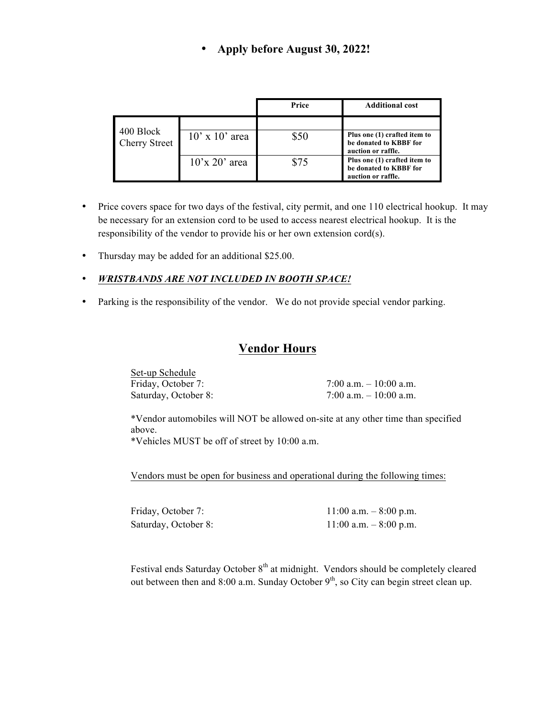#### • **Apply before August 30, 2022!**

|                                   |                                   | Price | <b>Additional cost</b>                                                       |
|-----------------------------------|-----------------------------------|-------|------------------------------------------------------------------------------|
| 400 Block<br><b>Cherry Street</b> | $10'$ x $10'$ area                | \$50  | Plus one (1) crafted item to<br>be donated to KBBF for<br>auction or raffle. |
|                                   | $10^{\circ}$ x 20 $^{\circ}$ area | \$75  | Plus one (1) crafted item to<br>be donated to KBBF for<br>auction or raffle. |

- Price covers space for two days of the festival, city permit, and one 110 electrical hookup. It may be necessary for an extension cord to be used to access nearest electrical hookup. It is the responsibility of the vendor to provide his or her own extension cord(s).
- Thursday may be added for an additional \$25.00.
- *WRISTBANDS ARE NOT INCLUDED IN BOOTH SPACE!*
- Parking is the responsibility of the vendor. We do not provide special vendor parking.

#### **Vendor Hours**

Set-up Schedule Friday, October 7: 7:00 a.m. – 10:00 a.m. Saturday, October 8: 7:00 a.m. – 10:00 a.m.

\*Vendor automobiles will NOT be allowed on-site at any other time than specified above.

\*Vehicles MUST be off of street by 10:00 a.m.

Vendors must be open for business and operational during the following times:

Friday, October 7: 11:00 a.m. – 8:00 p.m. Saturday, October 8: 11:00 a.m. – 8:00 p.m.

Festival ends Saturday October 8<sup>th</sup> at midnight. Vendors should be completely cleared out between then and 8:00 a.m. Sunday October  $9<sup>th</sup>$ , so City can begin street clean up.